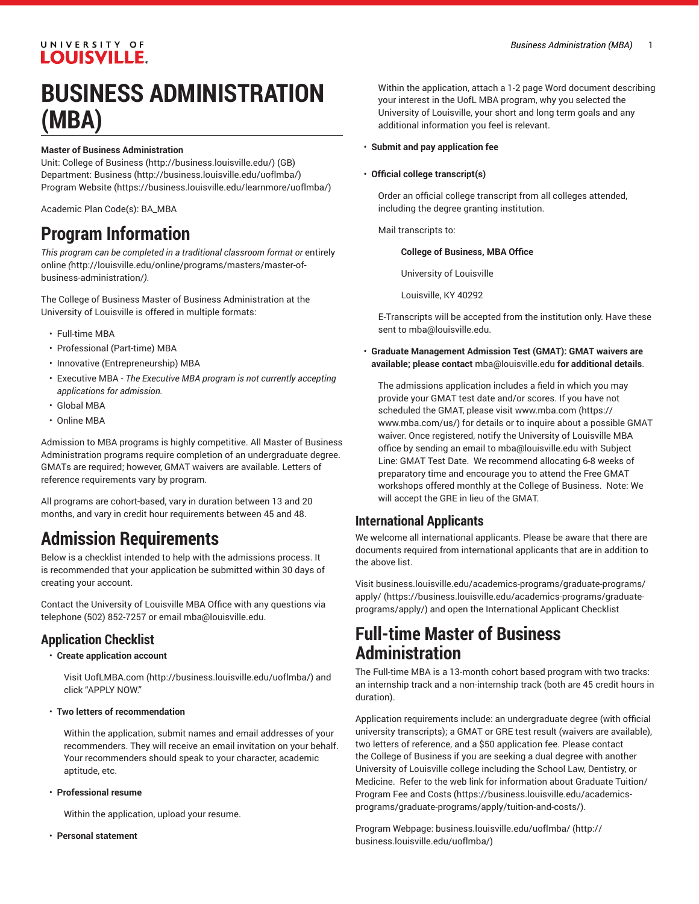# **BUSINESS ADMINISTRATION (MBA)**

#### **Master of Business Administration**

Unit: [College of Business \(http://business.louisville.edu/](http://business.louisville.edu/)) (GB) Department: [Business](http://business.louisville.edu/uoflmba/) [\(http://business.louisville.edu/uoflmba/](http://business.louisville.edu/uoflmba/)) [Program](https://business.louisville.edu/learnmore/uoflmba/) Website [\(https://business.louisville.edu/learnmore/uoflmba/\)](https://business.louisville.edu/learnmore/uoflmba/)

Academic Plan Code(s): BA\_MBA

## **Program Information**

*This program can be completed in a traditional classroom format or* [entirely](http://louisville.edu/online/programs/masters/master-of-business-administration/) [online](http://louisville.edu/online/programs/masters/master-of-business-administration/) *(*[http://louisville.edu/online/programs/masters/master-of](http://louisville.edu/online/programs/masters/master-of-business-administration/)[business-administration/](http://louisville.edu/online/programs/masters/master-of-business-administration/)*).*

The College of Business Master of Business Administration at the University of Louisville is offered in multiple formats:

- Full-time MBA
- Professional (Part-time) MBA
- Innovative (Entrepreneurship) MBA
- Executive MBA *The Executive MBA program is not currently accepting applications for admission.*
- Global MBA
- Online MBA

Admission to MBA programs is highly competitive. All Master of Business Administration programs require completion of an undergraduate degree. GMATs are required; however, GMAT waivers are available. Letters of reference requirements vary by program.

All programs are cohort-based, vary in duration between 13 and 20 months, and vary in credit hour requirements between 45 and 48.

# **Admission Requirements**

Below is a checklist intended to help with the admissions process. It is recommended that your application be submitted within 30 days of creating your account.

Contact the University of Louisville MBA Office with any questions via telephone (502) 852-7257 or email [mba@louisville.edu](mailto:mba@louisville.edu).

#### **Application Checklist**

• **Create application account**

Visit [UofLMBA.com](http://business.louisville.edu/uoflmba/) (<http://business.louisville.edu/uoflmba/>) and click "APPLY NOW."

• **Two letters of recommendation**

Within the application, submit names and email addresses of your recommenders. They will receive an email invitation on your behalf. Your recommenders should speak to your character, academic aptitude, etc.

• **Professional resume**

Within the application, upload your resume.

• **Personal statement**

Within the application, attach a 1-2 page Word document describing your interest in the UofL MBA program, why you selected the University of Louisville, your short and long term goals and any additional information you feel is relevant.

- **Submit and pay application fee**
- **Official college transcript(s)**

Order an official college transcript from all colleges attended, including the degree granting institution.

Mail transcripts to:

#### **College of Business, MBA Office**

University of Louisville

Louisville, KY 40292

E-Transcripts will be accepted from the institution only. Have these sent to [mba@louisville.edu](mailto:mba@louisville.edu).

• **Graduate Management Admission Test (GMAT): GMAT waivers are available; please contact** [mba@louisville.edu](mailto:mba@louisville.edu) **for additional details**.

The admissions application includes a field in which you may provide your GMAT test date and/or scores. If you have not scheduled the GMAT, please visit [www.mba.com](https://www.mba.com/us/) ([https://](https://www.mba.com/us/) [www.mba.com/us/](https://www.mba.com/us/)) for details or to inquire about a possible GMAT waiver. Once registered, notify the University of Louisville MBA office by sending an email to [mba@louisville.edu](mailto:mba@louisville.edu) with Subject Line: GMAT Test Date. We recommend allocating 6-8 weeks of preparatory time and encourage you to attend the Free GMAT workshops offered monthly at the College of Business. Note: We will accept the GRE in lieu of the GMAT.

#### **International Applicants**

We welcome all international applicants. Please be aware that there are documents required from international applicants that are in addition to the above list.

Visit [business.louisville.edu/academics-programs/graduate-programs/](https://business.louisville.edu/academics-programs/graduate-programs/apply/) [apply/](https://business.louisville.edu/academics-programs/graduate-programs/apply/) ([https://business.louisville.edu/academics-programs/graduate](https://business.louisville.edu/academics-programs/graduate-programs/apply/)[programs/apply/](https://business.louisville.edu/academics-programs/graduate-programs/apply/)) and open the International Applicant Checklist

### **Full-time Master of Business Administration**

The Full-time MBA is a 13-month cohort based program with two tracks: an internship track and a non-internship track (both are 45 credit hours in duration).

Application requirements include: an undergraduate degree (with official university transcripts); a GMAT or GRE test result (waivers are available), two letters of reference, and a \$50 application fee. Please contact the College of Business if you are seeking a dual degree with another University of Louisville college including the School Law, Dentistry, or Medicine. Refer to the web link for information about [Graduate](https://business.louisville.edu/academics-programs/graduate-programs/apply/tuition-and-costs/) Tuition/ [Program](https://business.louisville.edu/academics-programs/graduate-programs/apply/tuition-and-costs/) Fee and Costs [\(https://business.louisville.edu/academics](https://business.louisville.edu/academics-programs/graduate-programs/apply/tuition-and-costs/)[programs/graduate-programs/apply/tuition-and-costs/\)](https://business.louisville.edu/academics-programs/graduate-programs/apply/tuition-and-costs/).

Program Webpage: [business.louisville.edu/uoflmba/ \(http://](http://business.louisville.edu/uoflmba/) [business.louisville.edu/uoflmba/](http://business.louisville.edu/uoflmba/))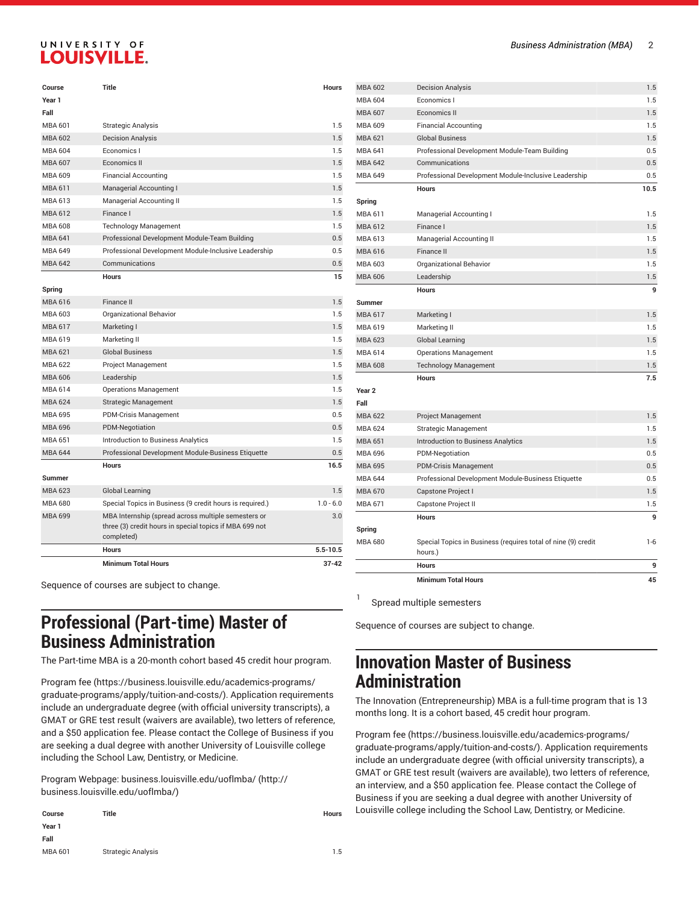| Course         | Title                                                                                                                        | <b>Hours</b> |
|----------------|------------------------------------------------------------------------------------------------------------------------------|--------------|
| Year 1         |                                                                                                                              |              |
| Fall           |                                                                                                                              |              |
| MBA 601        | <b>Strategic Analysis</b>                                                                                                    | 1.5          |
| <b>MBA 602</b> | <b>Decision Analysis</b>                                                                                                     | 1.5          |
| <b>MBA 604</b> | Economics I                                                                                                                  | 1.5          |
| <b>MBA 607</b> | Economics II                                                                                                                 | 1.5          |
| MBA 609        | <b>Financial Accounting</b>                                                                                                  | 1.5          |
| <b>MBA 611</b> | Managerial Accounting I                                                                                                      | 1.5          |
| MBA 613        | <b>Managerial Accounting II</b>                                                                                              | 1.5          |
| <b>MBA 612</b> | Finance I                                                                                                                    | 1.5          |
| MBA 608        | <b>Technology Management</b>                                                                                                 | 1.5          |
| <b>MBA 641</b> | Professional Development Module-Team Building                                                                                | 0.5          |
| <b>MBA 649</b> | Professional Development Module-Inclusive Leadership                                                                         | 0.5          |
| <b>MBA 642</b> | Communications                                                                                                               | 0.5          |
|                | <b>Hours</b>                                                                                                                 | 15           |
| Spring         |                                                                                                                              |              |
| <b>MBA 616</b> | Finance II                                                                                                                   | 1.5          |
| MBA 603        | Organizational Behavior                                                                                                      | 1.5          |
| <b>MBA 617</b> | Marketing I                                                                                                                  | 1.5          |
| MBA 619        | Marketing II                                                                                                                 | 1.5          |
| <b>MBA 621</b> | <b>Global Business</b>                                                                                                       | 1.5          |
| MBA 622        | Project Management                                                                                                           | 1.5          |
| MBA 606        | Leadership                                                                                                                   | 1.5          |
| MBA 614        | <b>Operations Management</b>                                                                                                 | 1.5          |
| <b>MBA 624</b> | <b>Strategic Management</b>                                                                                                  | 1.5          |
| <b>MBA 695</b> | PDM-Crisis Management                                                                                                        | 0.5          |
| MBA 696        | PDM-Negotiation                                                                                                              | 0.5          |
| MBA 651        | Introduction to Business Analytics                                                                                           | 1.5          |
| <b>MBA 644</b> | Professional Development Module-Business Etiquette                                                                           | 0.5          |
|                | <b>Hours</b>                                                                                                                 | 16.5         |
| <b>Summer</b>  |                                                                                                                              |              |
| <b>MBA 623</b> | <b>Global Learning</b>                                                                                                       | 1.5          |
| MBA 680        | Special Topics in Business (9 credit hours is required.)                                                                     | $10 - 60$    |
| <b>MBA 699</b> | MBA Internship (spread across multiple semesters or<br>three (3) credit hours in special topics if MBA 699 not<br>completed) | 3.0          |
|                | <b>Hours</b>                                                                                                                 | $5.5 - 10.5$ |
|                | <b>Minimum Total Hours</b>                                                                                                   | $37 - 42$    |

Sequence of courses are subject to change.

### **Professional (Part-time) Master of Business Administration**

The Part-time MBA is a 20-month cohort based 45 credit hour program.

[Program](https://business.louisville.edu/academics-programs/graduate-programs/apply/tuition-and-costs/) fee ([https://business.louisville.edu/academics-programs/](https://business.louisville.edu/academics-programs/graduate-programs/apply/tuition-and-costs/) [graduate-programs/apply/tuition-and-costs/](https://business.louisville.edu/academics-programs/graduate-programs/apply/tuition-and-costs/)). Application requirements include an undergraduate degree (with official university transcripts), a GMAT or GRE test result (waivers are available), two letters of reference, and a \$50 application fee. Please contact the College of Business if you are seeking a dual degree with another University of Louisville college including the School Law, Dentistry, or Medicine.

Program Webpage: [business.louisville.edu/uoflmba/](http://business.louisville.edu/uoflmba/) ([http://](http://business.louisville.edu/uoflmba/) [business.louisville.edu/uoflmba/\)](http://business.louisville.edu/uoflmba/)

| Course  | <b>Title</b>              | Hours |
|---------|---------------------------|-------|
| Year 1  |                           |       |
| Fall    |                           |       |
| MBA 601 | <b>Strategic Analysis</b> | 1.5   |

|                           | <b>Minimum Total Hours</b>                                               | 45         |
|---------------------------|--------------------------------------------------------------------------|------------|
|                           | <b>Hours</b>                                                             | 9          |
| Spring<br><b>MBA 680</b>  | Special Topics in Business (requires total of nine (9) credit<br>hours.) | $1 - 6$    |
|                           | <b>Hours</b>                                                             | 9          |
| <b>MBA 671</b>            | Capstone Project II                                                      | 1.5        |
| <b>MBA 670</b>            | Capstone Project I                                                       | 1.5        |
| <b>MBA 644</b>            | Professional Development Module-Business Etiquette                       | 0.5        |
| <b>MBA 695</b>            | <b>PDM-Crisis Management</b>                                             | 0.5        |
| <b>MBA 696</b>            | PDM-Negotiation                                                          | 0.5        |
| <b>MBA 651</b>            | <b>Introduction to Business Analytics</b>                                | 1.5        |
| <b>MBA 624</b>            | <b>Strategic Management</b>                                              | 1.5        |
| <b>MBA 622</b>            | <b>Project Management</b>                                                | 1.5        |
| Year <sub>2</sub><br>Fall |                                                                          |            |
|                           | <b>Hours</b>                                                             | 7.5        |
| <b>MBA 608</b>            | <b>Technology Management</b>                                             | 1.5        |
| <b>MBA 614</b>            | <b>Operations Management</b>                                             | 1.5        |
| <b>MBA 623</b>            | <b>Global Learning</b>                                                   | 1.5        |
| MBA 619                   | Marketing II                                                             | 1.5        |
| <b>MBA 617</b>            | Marketing I                                                              | 1.5        |
| <b>Summer</b>             | <b>Hours</b>                                                             | 9          |
| <b>MBA 606</b>            | Leadership                                                               | 1.5        |
| MBA 603                   | Organizational Behavior                                                  | 1.5        |
| <b>MBA 616</b>            | Finance II                                                               | 1.5        |
| MBA 613                   | Managerial Accounting II                                                 | 1.5        |
| <b>MBA 612</b>            | Finance I                                                                | 1.5        |
| <b>MBA 611</b>            | Managerial Accounting I                                                  | 1.5        |
| Spring                    |                                                                          |            |
|                           | <b>Hours</b>                                                             | 10.5       |
| <b>MBA 649</b>            | Professional Development Module-Inclusive Leadership                     | 0.5        |
| <b>MBA 642</b>            | Communications                                                           | 0.5        |
| <b>MBA 641</b>            | Professional Development Module-Team Building                            | 0.5        |
| <b>MBA 621</b>            | <b>Global Business</b>                                                   | 1.5        |
| <b>MBA 609</b>            | <b>Financial Accounting</b>                                              | 1.5        |
| MBA 604<br><b>MBA 607</b> | Economics I<br><b>Economics II</b>                                       | 1.5        |
| <b>MBA 602</b>            | <b>Decision Analysis</b>                                                 | 1.5<br>1.5 |
|                           |                                                                          |            |

Spread multiple semesters

1

Sequence of courses are subject to change.

### **Innovation Master of Business Administration**

The Innovation (Entrepreneurship) MBA is a full-time program that is 13 months long. It is a cohort based, 45 credit hour program.

[Program](https://business.louisville.edu/academics-programs/graduate-programs/apply/tuition-and-costs/) fee [\(https://business.louisville.edu/academics-programs/](https://business.louisville.edu/academics-programs/graduate-programs/apply/tuition-and-costs/) [graduate-programs/apply/tuition-and-costs/\)](https://business.louisville.edu/academics-programs/graduate-programs/apply/tuition-and-costs/). Application requirements include an undergraduate degree (with official university transcripts), a GMAT or GRE test result (waivers are available), two letters of reference, an interview, and a \$50 application fee. Please contact the College of Business if you are seeking a dual degree with another University of Louisville college including the School Law, Dentistry, or Medicine.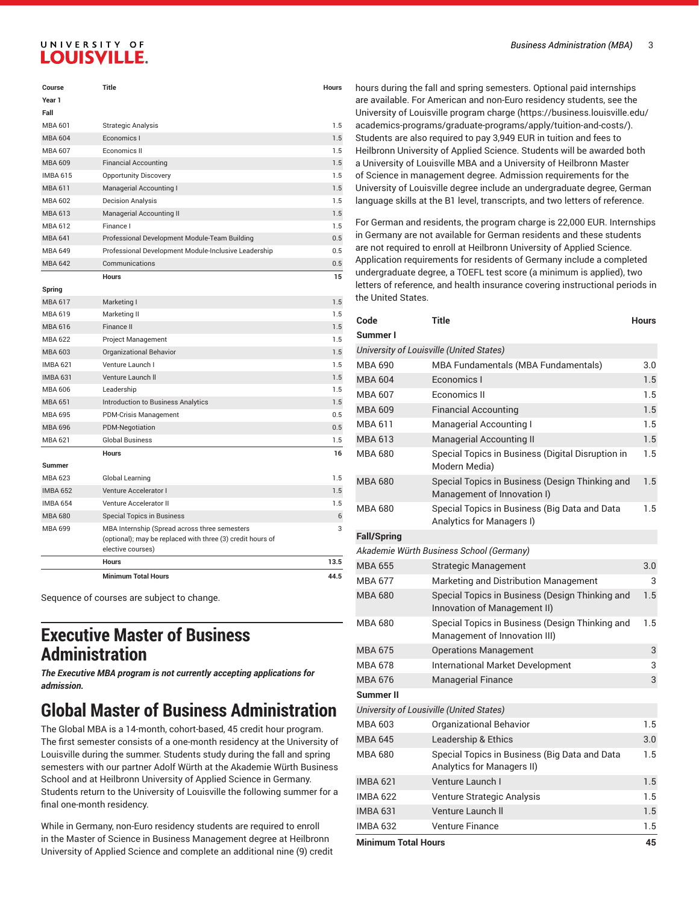| Course          | <b>Title</b>                                         | <b>Hours</b> |
|-----------------|------------------------------------------------------|--------------|
| Year 1          |                                                      |              |
| Fall            |                                                      |              |
| MBA 601         | <b>Strategic Analysis</b>                            | 1.5          |
| <b>MBA 604</b>  | Economics I                                          | 1.5          |
| MBA 607         | Economics II                                         | 1.5          |
| <b>MBA 609</b>  | <b>Financial Accounting</b>                          | 1.5          |
| <b>IMBA 615</b> | <b>Opportunity Discovery</b>                         | 1.5          |
| <b>MBA 611</b>  | Managerial Accounting I                              | 1.5          |
| MBA 602         | <b>Decision Analysis</b>                             | 1.5          |
| MBA 613         | <b>Managerial Accounting II</b>                      | 1.5          |
| MBA 612         | Finance I                                            | 1.5          |
| <b>MBA 641</b>  | Professional Development Module-Team Building        | 0.5          |
| <b>MBA 649</b>  | Professional Development Module-Inclusive Leadership | 0.5          |
| <b>MBA 642</b>  | Communications                                       | 0.5          |
|                 | <b>Hours</b>                                         | 15           |
| Spring          |                                                      |              |

|                 | <b>Minimum Total Hours</b>                                                                                                       | 44.5 |
|-----------------|----------------------------------------------------------------------------------------------------------------------------------|------|
|                 | <b>Hours</b>                                                                                                                     | 13.5 |
| MBA 699         | MBA Internship (Spread across three semesters<br>(optional); may be replaced with three (3) credit hours of<br>elective courses) | 3    |
| <b>MBA 680</b>  | <b>Special Topics in Business</b>                                                                                                | 6    |
| <b>IMBA 654</b> | Venture Accelerator II                                                                                                           | 1.5  |
| <b>IMBA 652</b> | Venture Accelerator I                                                                                                            | 1.5  |
| MBA 623         | Global Learning                                                                                                                  | 1.5  |
| <b>Summer</b>   | <b>Hours</b>                                                                                                                     | 16   |
| <b>MBA 621</b>  | <b>Global Business</b>                                                                                                           | 1.5  |
| <b>MBA 696</b>  | <b>PDM-Negotiation</b>                                                                                                           | 0.5  |
| MBA 695         | <b>PDM-Crisis Management</b>                                                                                                     | 0.5  |
| <b>MBA 651</b>  | <b>Introduction to Business Analytics</b>                                                                                        | 1.5  |
| MBA 606         | Leadership                                                                                                                       | 1.5  |
| <b>IMBA 631</b> | Venture Launch II                                                                                                                | 1.5  |
| <b>IMBA 621</b> | Venture Launch I                                                                                                                 | 1.5  |
| MBA 603         | Organizational Behavior                                                                                                          | 1.5  |
| MBA 622         | Project Management                                                                                                               | 1.5  |
| <b>MBA 616</b>  | Finance II                                                                                                                       | 1.5  |
| MBA 619         | Marketing II                                                                                                                     | 1.5  |
| <b>MBA 617</b>  | Marketing I                                                                                                                      | 1.5  |

Sequence of courses are subject to change.

### **Executive Master of Business Administration**

*The Executive MBA program is not currently accepting applications for admission.*

### **Global Master of Business Administration**

The Global MBA is a 14-month, cohort-based, 45 credit hour program. The first semester consists of a one-month residency at the University of Louisville during the summer. Students study during the fall and spring semesters with our partner Adolf Würth at the Akademie Würth Business School and at Heilbronn University of Applied Science in Germany. Students return to the University of Louisville the following summer for a final one-month residency.

While in Germany, non-Euro residency students are required to enroll in the Master of Science in Business Management degree at Heilbronn University of Applied Science and complete an additional nine (9) credit

hours during the fall and spring semesters. Optional paid internships are available. For American and non-Euro residency students, see the University of Louisville [program](https://business.louisville.edu/academics-programs/graduate-programs/apply/tuition-and-costs/) charge ([https://business.louisville.edu/](https://business.louisville.edu/academics-programs/graduate-programs/apply/tuition-and-costs/) [academics-programs/graduate-programs/apply/tuition-and-costs/\)](https://business.louisville.edu/academics-programs/graduate-programs/apply/tuition-and-costs/). Students are also required to pay 3,949 EUR in tuition and fees to Heilbronn University of Applied Science. Students will be awarded both a University of Louisville MBA and a University of Heilbronn Master of Science in management degree. Admission requirements for the University of Louisville degree include an undergraduate degree, German language skills at the B1 level, transcripts, and two letters of reference.

For German and residents, the program charge is 22,000 EUR. Internships in Germany are not available for German residents and these students are not required to enroll at Heilbronn University of Applied Science. Application requirements for residents of Germany include a completed undergraduate degree, a TOEFL test score (a minimum is applied), two letters of reference, and health insurance covering instructional periods in the United States.

| Code                       | <b>Title</b>                                                                     | <b>Hours</b> |
|----------------------------|----------------------------------------------------------------------------------|--------------|
| Summer I                   |                                                                                  |              |
|                            | University of Louisville (United States)                                         |              |
| MBA 690                    | MBA Fundamentals (MBA Fundamentals)                                              | 3.0          |
| <b>MBA 604</b>             | Economics I                                                                      | 1.5          |
| <b>MBA 607</b>             | Economics II                                                                     | 1.5          |
| <b>MBA 609</b>             | <b>Financial Accounting</b>                                                      | 1.5          |
| <b>MBA 611</b>             | Managerial Accounting I                                                          | 1.5          |
| <b>MBA 613</b>             | <b>Managerial Accounting II</b>                                                  | 1.5          |
| <b>MBA 680</b>             | Special Topics in Business (Digital Disruption in<br>Modern Media)               | 1.5          |
| <b>MBA 680</b>             | Special Topics in Business (Design Thinking and<br>Management of Innovation I)   | 1.5          |
| MBA 680                    | Special Topics in Business (Big Data and Data<br>Analytics for Managers I)       | 1.5          |
| <b>Fall/Spring</b>         |                                                                                  |              |
|                            | Akademie Würth Business School (Germany)                                         |              |
| <b>MBA 655</b>             | <b>Strategic Management</b>                                                      | 3.0          |
| <b>MBA 677</b>             | Marketing and Distribution Management                                            | 3            |
| <b>MBA 680</b>             | Special Topics in Business (Design Thinking and<br>Innovation of Management II)  | 1.5          |
| MBA 680                    | Special Topics in Business (Design Thinking and<br>Management of Innovation III) | 1.5          |
| <b>MBA 675</b>             | <b>Operations Management</b>                                                     | 3            |
| <b>MBA 678</b>             | International Market Development                                                 | 3            |
| <b>MBA 676</b>             | <b>Managerial Finance</b>                                                        | 3            |
| Summer II                  |                                                                                  |              |
|                            | University of Lousiville (United States)                                         |              |
| <b>MBA 603</b>             | Organizational Behavior                                                          | 1.5          |
| <b>MBA 645</b>             | Leadership & Ethics                                                              | 3.0          |
| <b>MBA 680</b>             | Special Topics in Business (Big Data and Data<br>Analytics for Managers II)      | 1.5          |
| <b>IMBA 621</b>            | Venture Launch I                                                                 | 1.5          |
| <b>IMBA 622</b>            | Venture Strategic Analysis                                                       | 1.5          |
| <b>IMBA 631</b>            | Venture Launch II                                                                | 1.5          |
| <b>IMBA 632</b>            | <b>Venture Finance</b>                                                           | 1.5          |
| <b>Minimum Total Hours</b> |                                                                                  |              |